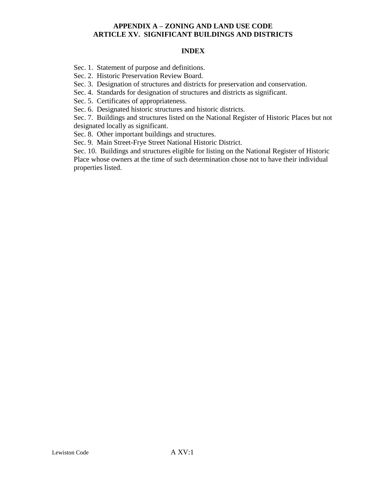#### **INDEX**

Sec. 1. Statement of purpose and definitions.

Sec. 2. Historic Preservation Review Board.

Sec. 3. Designation of structures and districts for preservation and conservation.

Sec. 4. Standards for designation of structures and districts as significant.

Sec. 5. Certificates of appropriateness.

Sec. 6. Designated historic structures and historic districts.

Sec. 7. Buildings and structures listed on the National Register of Historic Places but not designated locally as significant.

Sec. 8. Other important buildings and structures.

Sec. 9. Main Street-Frye Street National Historic District.

Sec. 10. Buildings and structures eligible for listing on the National Register of Historic Place whose owners at the time of such determination chose not to have their individual properties listed.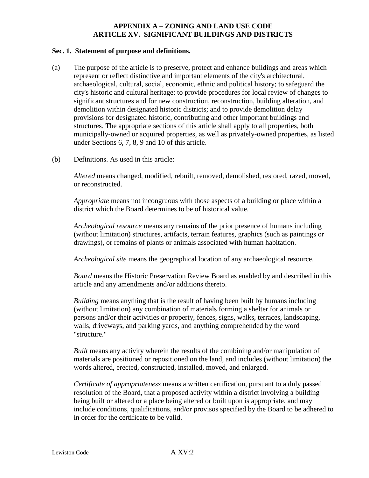#### **Sec. 1. Statement of purpose and definitions.**

- (a) The purpose of the article is to preserve, protect and enhance buildings and areas which represent or reflect distinctive and important elements of the city's architectural, archaeological, cultural, social, economic, ethnic and political history; to safeguard the city's historic and cultural heritage; to provide procedures for local review of changes to significant structures and for new construction, reconstruction, building alteration, and demolition within designated historic districts; and to provide demolition delay provisions for designated historic, contributing and other important buildings and structures. The appropriate sections of this article shall apply to all properties, both municipally-owned or acquired properties, as well as privately-owned properties, as listed under Sections 6, 7, 8, 9 and 10 of this article.
- (b) Definitions. As used in this article:

*Altered* means changed, modified, rebuilt, removed, demolished, restored, razed, moved, or reconstructed.

*Appropriate* means not incongruous with those aspects of a building or place within a district which the Board determines to be of historical value.

*Archeological resource* means any remains of the prior presence of humans including (without limitation) structures, artifacts, terrain features, graphics (such as paintings or drawings), or remains of plants or animals associated with human habitation.

*Archeological site* means the geographical location of any archaeological resource.

*Board* means the Historic Preservation Review Board as enabled by and described in this article and any amendments and/or additions thereto.

*Building* means anything that is the result of having been built by humans including (without limitation) any combination of materials forming a shelter for animals or persons and/or their activities or property, fences, signs, walks, terraces, landscaping, walls, driveways, and parking yards, and anything comprehended by the word "structure."

*Built* means any activity wherein the results of the combining and/or manipulation of materials are positioned or repositioned on the land, and includes (without limitation) the words altered, erected, constructed, installed, moved, and enlarged.

*Certificate of appropriateness* means a written certification, pursuant to a duly passed resolution of the Board, that a proposed activity within a district involving a building being built or altered or a place being altered or built upon is appropriate, and may include conditions, qualifications, and/or provisos specified by the Board to be adhered to in order for the certificate to be valid.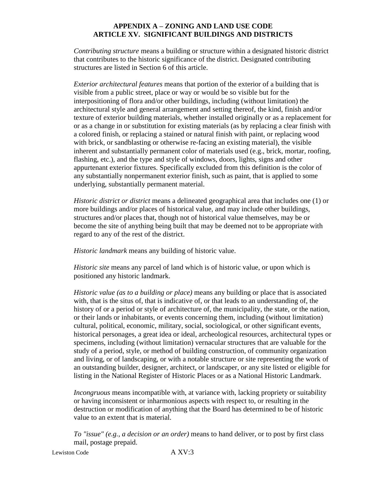*Contributing structure* means a building or structure within a designated historic district that contributes to the historic significance of the district. Designated contributing structures are listed in Section 6 of this article.

*Exterior architectural features* means that portion of the exterior of a building that is visible from a public street, place or way or would be so visible but for the interpositioning of flora and/or other buildings, including (without limitation) the architectural style and general arrangement and setting thereof, the kind, finish and/or texture of exterior building materials, whether installed originally or as a replacement for or as a change in or substitution for existing materials (as by replacing a clear finish with a colored finish, or replacing a stained or natural finish with paint, or replacing wood with brick, or sandblasting or otherwise re-facing an existing material), the visible inherent and substantially permanent color of materials used (e.g., brick, mortar, roofing, flashing, etc.), and the type and style of windows, doors, lights, signs and other appurtenant exterior fixtures. Specifically excluded from this definition is the color of any substantially nonpermanent exterior finish, such as paint, that is applied to some underlying, substantially permanent material.

*Historic district or district* means a delineated geographical area that includes one (1) or more buildings and/or places of historical value, and may include other buildings, structures and/or places that, though not of historical value themselves, may be or become the site of anything being built that may be deemed not to be appropriate with regard to any of the rest of the district.

*Historic landmark* means any building of historic value.

*Historic site* means any parcel of land which is of historic value, or upon which is positioned any historic landmark.

*Historic value (as to a building or place)* means any building or place that is associated with, that is the situs of, that is indicative of, or that leads to an understanding of, the history of or a period or style of architecture of, the municipality, the state, or the nation, or their lands or inhabitants, or events concerning them, including (without limitation) cultural, political, economic, military, social, sociological, or other significant events, historical personages, a great idea or ideal, archeological resources, architectural types or specimens, including (without limitation) vernacular structures that are valuable for the study of a period, style, or method of building construction, of community organization and living, or of landscaping, or with a notable structure or site representing the work of an outstanding builder, designer, architect, or landscaper, or any site listed or eligible for listing in the National Register of Historic Places or as a National Historic Landmark.

*Incongruous* means incompatible with, at variance with, lacking propriety or suitability or having inconsistent or inharmonious aspects with respect to, or resulting in the destruction or modification of anything that the Board has determined to be of historic value to an extent that is material.

*To "issue" (e.g., a decision or an order)* means to hand deliver, or to post by first class mail, postage prepaid.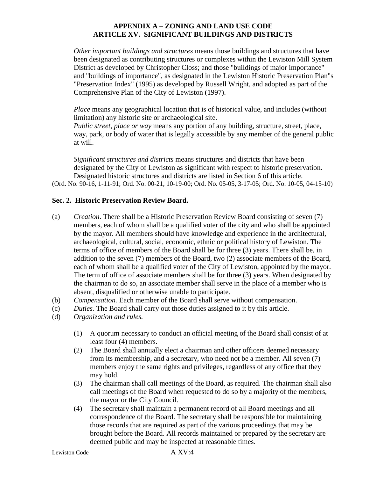*Other important buildings and structures* means those buildings and structures that have been designated as contributing structures or complexes within the Lewiston Mill System District as developed by Christopher Closs; and those "buildings of major importance" and "buildings of importance", as designated in the Lewiston Historic Preservation Plan"s "Preservation Index" (1995) as developed by Russell Wright, and adopted as part of the Comprehensive Plan of the City of Lewiston (1997).

*Place* means any geographical location that is of historical value, and includes (without limitation) any historic site or archaeological site.

*Public street, place or way* means any portion of any building, structure, street, place, way, park, or body of water that is legally accessible by any member of the general public at will.

*Significant structures and districts* means structures and districts that have been designated by the City of Lewiston as significant with respect to historic preservation. Designated historic structures and districts are listed in Section 6 of this article. (Ord. No. 90-16, 1-11-91; Ord. No. 00-21, 10-19-00; Ord. No. 05-05, 3-17-05; Ord. No. 10-05, 04-15-10)

# **Sec. 2. Historic Preservation Review Board.**

- (a) *Creation*. There shall be a Historic Preservation Review Board consisting of seven (7) members, each of whom shall be a qualified voter of the city and who shall be appointed by the mayor. All members should have knowledge and experience in the architectural, archaeological, cultural, social, economic, ethnic or political history of Lewiston. The terms of office of members of the Board shall be for three (3) years. There shall be, in addition to the seven (7) members of the Board, two (2) associate members of the Board, each of whom shall be a qualified voter of the City of Lewiston, appointed by the mayor. The term of office of associate members shall be for three (3) years. When designated by the chairman to do so, an associate member shall serve in the place of a member who is absent, disqualified or otherwise unable to participate.
- (b) *Compensation.* Each member of the Board shall serve without compensation.
- (c) *Duties.* The Board shall carry out those duties assigned to it by this article.
- (d) *Organization and rules.*
	- (1) A quorum necessary to conduct an official meeting of the Board shall consist of at least four (4) members.
	- (2) The Board shall annually elect a chairman and other officers deemed necessary from its membership, and a secretary, who need not be a member. All seven (7) members enjoy the same rights and privileges, regardless of any office that they may hold.
	- (3) The chairman shall call meetings of the Board, as required. The chairman shall also call meetings of the Board when requested to do so by a majority of the members, the mayor or the City Council.
	- (4) The secretary shall maintain a permanent record of all Board meetings and all correspondence of the Board. The secretary shall be responsible for maintaining those records that are required as part of the various proceedings that may be brought before the Board. All records maintained or prepared by the secretary are deemed public and may be inspected at reasonable times.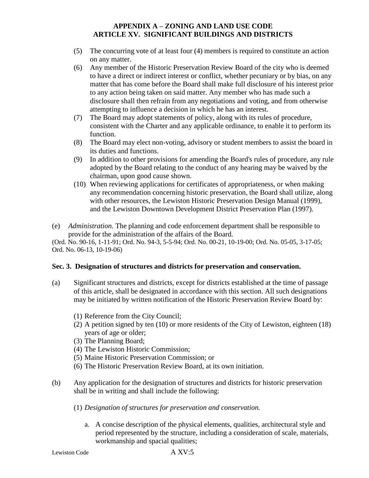- (5) The concurring vote of at least four (4) members is required to constitute an action on any matter.
- (6) Any member of the Historic Preservation Review Board of the city who is deemed to have a direct or indirect interest or conflict, whether pecuniary or by bias, on any matter that has come before the Board shall make full disclosure of his interest prior to any action being taken on said matter. Any member who has made such a disclosure shall then refrain from any negotiations and voting, and from otherwise attempting to influence a decision in which he has an interest.
- (7) The Board may adopt statements of policy, along with its rules of procedure, consistent with the Charter and any applicable ordinance, to enable it to perform its function.
- (8) The Board may elect non-voting, advisory or student members to assist the board in its duties and functions.
- (9) In addition to other provisions for amending the Board's rules of procedure, any rule adopted by the Board relating to the conduct of any hearing may be waived by the chairman, upon good cause shown.
- (10) When reviewing applications for certificates of appropriateness, or when making any recommendation concerning historic preservation, the Board shall utilize, along with other resources, the Lewiston Historic Preservation Design Manual (1999), and the Lewiston Downtown Development District Preservation Plan (1997).
- (e) *Administration.* The planning and code enforcement department shall be responsible to provide for the administration of the affairs of the Board.

(Ord. No. 90-16, 1-11-91; Ord. No. 94-3, 5-5-94; Ord. No. 00-21, 10-19-00; Ord. No. 05-05, 3-17-05; Ord. No. 06-13, 10-19-06)

### **Sec. 3. Designation of structures and districts for preservation and conservation.**

- (a) Significant structures and districts, except for districts established at the time of passage of this article, shall be designated in accordance with this section. All such designations may be initiated by written notification of the Historic Preservation Review Board by:
	- (1) Reference from the City Council;
	- (2) A petition signed by ten (10) or more residents of the City of Lewiston, eighteen (18) years of age or older;
	- (3) The Planning Board;
	- (4) The Lewiston Historic Commission;
	- (5) Maine Historic Preservation Commission; or
	- (6) The Historic Preservation Review Board, at its own initiation.
- (b) Any application for the designation of structures and districts for historic preservation shall be in writing and shall include the following:
	- (1) *Designation of structures for preservation and conservation.*
		- a. A concise description of the physical elements, qualities, architectural style and period represented by the structure, including a consideration of scale, materials, workmanship and spacial qualities;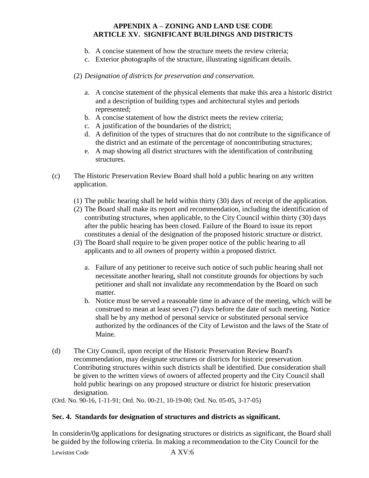- b. A concise statement of how the structure meets the review criteria;
- c. Exterior photographs of the structure, illustrating significant details.

# (2) *Designation of districts for preservation and conservation.*

- a. A concise statement of the physical elements that make this area a historic district and a description of building types and architectural styles and periods represented;
- b. A concise statement of how the district meets the review criteria;
- c. A justification of the boundaries of the district;
- d. A definition of the types of structures that do not contribute to the significance of the district and an estimate of the percentage of noncontributing structures;
- e. A map showing all district structures with the identification of contributing structures.
- (c) The Historic Preservation Review Board shall hold a public hearing on any written application.
	- (1) The public hearing shall be held within thirty (30) days of receipt of the application.
	- (2) The Board shall make its report and recommendation, including the identification of contributing structures, when applicable, to the City Council within thirty (30) days after the public hearing has been closed. Failure of the Board to issue its report constitutes a denial of the designation of the proposed historic structure or district.
	- (3) The Board shall require to be given proper notice of the public hearing to all applicants and to all owners of property within a proposed district.
		- a. Failure of any petitioner to receive such notice of such public hearing shall not necessitate another hearing, shall not constitute grounds for objections by such petitioner and shall not invalidate any recommendation by the Board on such matter.
		- b. Notice must be served a reasonable time in advance of the meeting, which will be construed to mean at least seven (7) days before the date of such meeting. Notice shall be by any method of personal service or substituted personal service authorized by the ordinances of the City of Lewiston and the laws of the State of Maine.
- (d) The City Council, upon receipt of the Historic Preservation Review Board's recommendation, may designate structures or districts for historic preservation. Contributing structures within such districts shall be identified. Due consideration shall be given to the written views of owners of affected property and the City Council shall hold public hearings on any proposed structure or district for historic preservation designation.

(Ord. No. 90-16, 1-11-91; Ord. No. 00-21, 10-19-00; Ord. No. 05-05, 3-17-05)

### **Sec. 4. Standards for designation of structures and districts as significant.**

In considerin/0g applications for designating structures or districts as significant, the Board shall be guided by the following criteria. In making a recommendation to the City Council for the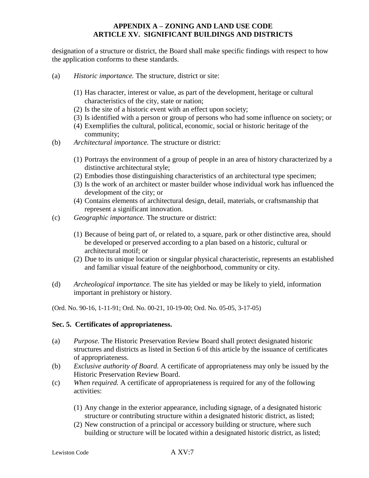designation of a structure or district, the Board shall make specific findings with respect to how the application conforms to these standards.

- (a) *Historic importance.* The structure, district or site:
	- (1) Has character, interest or value, as part of the development, heritage or cultural characteristics of the city, state or nation;
	- (2) Is the site of a historic event with an effect upon society;
	- (3) Is identified with a person or group of persons who had some influence on society; or
	- (4) Exemplifies the cultural, political, economic, social or historic heritage of the community;
- (b) *Architectural importance.* The structure or district:
	- (1) Portrays the environment of a group of people in an area of history characterized by a distinctive architectural style;
	- (2) Embodies those distinguishing characteristics of an architectural type specimen;
	- (3) Is the work of an architect or master builder whose individual work has influenced the development of the city; or
	- (4) Contains elements of architectural design, detail, materials, or craftsmanship that represent a significant innovation.
- (c) *Geographic importance.* The structure or district:
	- (1) Because of being part of, or related to, a square, park or other distinctive area, should be developed or preserved according to a plan based on a historic, cultural or architectural motif; or
	- (2) Due to its unique location or singular physical characteristic, represents an established and familiar visual feature of the neighborhood, community or city.
- (d) *Archeological importance.* The site has yielded or may be likely to yield, information important in prehistory or history.

(Ord. No. 90-16, 1-11-91; Ord. No. 00-21, 10-19-00; Ord. No. 05-05, 3-17-05)

### **Sec. 5. Certificates of appropriateness.**

- (a) *Purpose.* The Historic Preservation Review Board shall protect designated historic structures and districts as listed in Section 6 of this article by the issuance of certificates of appropriateness.
- (b) *Exclusive authority of Board.* A certificate of appropriateness may only be issued by the Historic Preservation Review Board.
- (c) *When required.* A certificate of appropriateness is required for any of the following activities:
	- (1) Any change in the exterior appearance, including signage, of a designated historic structure or contributing structure within a designated historic district, as listed;
	- (2) New construction of a principal or accessory building or structure, where such building or structure will be located within a designated historic district, as listed;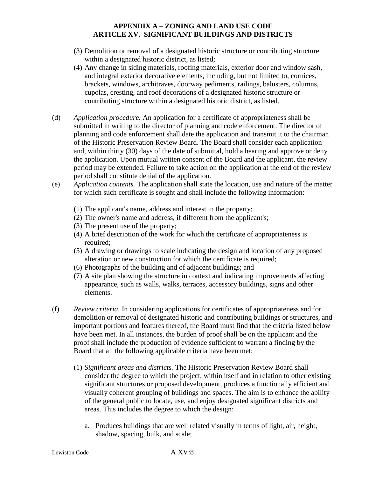- (3) Demolition or removal of a designated historic structure or contributing structure within a designated historic district, as listed;
- (4) Any change in siding materials, roofing materials, exterior door and window sash, and integral exterior decorative elements, including, but not limited to, cornices, brackets, windows, architraves, doorway pediments, railings, balusters, columns, cupolas, cresting, and roof decorations of a designated historic structure or contributing structure within a designated historic district, as listed.
- (d) *Application procedure.* An application for a certificate of appropriateness shall be submitted in writing to the director of planning and code enforcement. The director of planning and code enforcement shall date the application and transmit it to the chairman of the Historic Preservation Review Board. The Board shall consider each application and, within thirty (30) days of the date of submittal, hold a hearing and approve or deny the application. Upon mutual written consent of the Board and the applicant, the review period may be extended. Failure to take action on the application at the end of the review period shall constitute denial of the application.
- (e) *Application contents.* The application shall state the location, use and nature of the matter for which such certificate is sought and shall include the following information:
	- (1) The applicant's name, address and interest in the property;
	- (2) The owner's name and address, if different from the applicant's;
	- (3) The present use of the property;
	- (4) A brief description of the work for which the certificate of appropriateness is required;
	- (5) A drawing or drawings to scale indicating the design and location of any proposed alteration or new construction for which the certificate is required;
	- (6) Photographs of the building and of adjacent buildings; and
	- (7) A site plan showing the structure in context and indicating improvements affecting appearance, such as walls, walks, terraces, accessory buildings, signs and other elements.
- (f) *Review criteria.* In considering applications for certificates of appropriateness and for demolition or removal of designated historic and contributing buildings or structures, and important portions and features thereof, the Board must find that the criteria listed below have been met. In all instances, the burden of proof shall be on the applicant and the proof shall include the production of evidence sufficient to warrant a finding by the Board that all the following applicable criteria have been met:
	- (1) *Significant areas and districts.* The Historic Preservation Review Board shall consider the degree to which the project, within itself and in relation to other existing significant structures or proposed development, produces a functionally efficient and visually coherent grouping of buildings and spaces. The aim is to enhance the ability of the general public to locate, use, and enjoy designated significant districts and areas. This includes the degree to which the design:
		- a. Produces buildings that are well related visually in terms of light, air, height, shadow, spacing, bulk, and scale;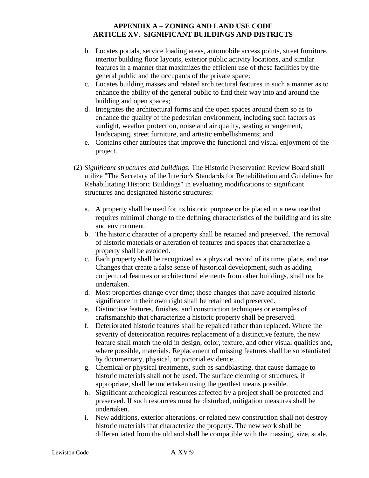- b. Locates portals, service loading areas, automobile access points, street furniture, interior building floor layouts, exterior public activity locations, and similar features in a manner that maximizes the efficient use of these facilities by the general public and the occupants of the private space:
- c. Locates building masses and related architectural features in such a manner as to enhance the ability of the general public to find their way into and around the building and open spaces;
- d. Integrates the architectural forms and the open spaces around them so as to enhance the quality of the pedestrian environment, including such factors as sunlight, weather protection, noise and air quality, seating arrangement, landscaping, street furniture, and artistic embellishments; and
- e. Contains other attributes that improve the functional and visual enjoyment of the project.
- (2) *Significant structures and buildings.* The Historic Preservation Review Board shall utilize "The Secretary of the Interior's Standards for Rehabilitation and Guidelines for Rehabilitating Historic Buildings" in evaluating modifications to significant structures and designated historic structures:
	- a. A property shall be used for its historic purpose or be placed in a new use that requires minimal change to the defining characteristics of the building and its site and environment.
	- b. The historic character of a property shall be retained and preserved. The removal of historic materials or alteration of features and spaces that characterize a property shall be avoided.
	- c. Each property shall be recognized as a physical record of its time, place, and use. Changes that create a false sense of historical development, such as adding conjectural features or architectural elements from other buildings, shall not be undertaken.
	- d. Most properties change over time; those changes that have acquired historic significance in their own right shall be retained and preserved.
	- e. Distinctive features, finishes, and construction techniques or examples of craftsmanship that characterize a historic property shall be preserved.
	- f. Deteriorated historic features shall be repaired rather than replaced. Where the severity of deterioration requires replacement of a distinctive feature, the new feature shall match the old in design, color, texture, and other visual qualities and, where possible, materials. Replacement of missing features shall be substantiated by documentary, physical, or pictorial evidence.
	- g. Chemical or physical treatments, such as sandblasting, that cause damage to historic materials shall not be used. The surface cleaning of structures, if appropriate, shall be undertaken using the gentlest means possible.
	- h. Significant archeological resources affected by a project shall be protected and preserved. If such resources must be disturbed, mitigation measures shall be undertaken.
	- i. New additions, exterior alterations, or related new construction shall not destroy historic materials that characterize the property. The new work shall be differentiated from the old and shall be compatible with the massing, size, scale,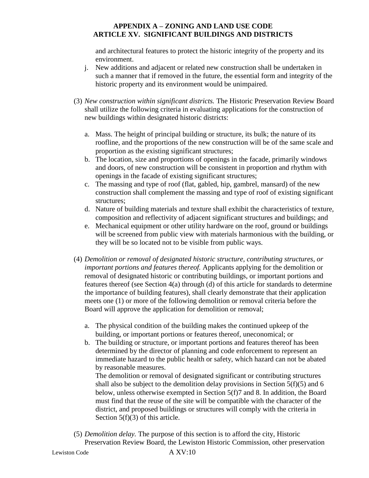and architectural features to protect the historic integrity of the property and its environment.

- j. New additions and adjacent or related new construction shall be undertaken in such a manner that if removed in the future, the essential form and integrity of the historic property and its environment would be unimpaired.
- (3) *New construction within significant districts.* The Historic Preservation Review Board shall utilize the following criteria in evaluating applications for the construction of new buildings within designated historic districts:
	- a. Mass. The height of principal building or structure, its bulk; the nature of its roofline, and the proportions of the new construction will be of the same scale and proportion as the existing significant structures;
	- b. The location, size and proportions of openings in the facade, primarily windows and doors, of new construction will be consistent in proportion and rhythm with openings in the facade of existing significant structures;
	- c. The massing and type of roof (flat, gabled, hip, gambrel, mansard) of the new construction shall complement the massing and type of roof of existing significant structures;
	- d. Nature of building materials and texture shall exhibit the characteristics of texture, composition and reflectivity of adjacent significant structures and buildings; and
	- e. Mechanical equipment or other utility hardware on the roof, ground or buildings will be screened from public view with materials harmonious with the building, or they will be so located not to be visible from public ways.
- (4) *Demolition or removal of designated historic structure, contributing structures, or important portions and features thereof.* Applicants applying for the demolition or removal of designated historic or contributing buildings, or important portions and features thereof (see Section 4(a) through (d) of this article for standards to determine the importance of building features), shall clearly demonstrate that their application meets one (1) or more of the following demolition or removal criteria before the Board will approve the application for demolition or removal;
	- a. The physical condition of the building makes the continued upkeep of the building, or important portions or features thereof, uneconomical; or
	- b. The building or structure, or important portions and features thereof has been determined by the director of planning and code enforcement to represent an immediate hazard to the public health or safety, which hazard can not be abated by reasonable measures.

The demolition or removal of designated significant or contributing structures shall also be subject to the demolition delay provisions in Section  $5(f)(5)$  and 6 below, unless otherwise exempted in Section 5(f)7 and 8. In addition, the Board must find that the reuse of the site will be compatible with the character of the district, and proposed buildings or structures will comply with the criteria in Section 5(f)(3) of this article.

(5) *Demolition delay.* The purpose of this section is to afford the city, Historic Preservation Review Board, the Lewiston Historic Commission, other preservation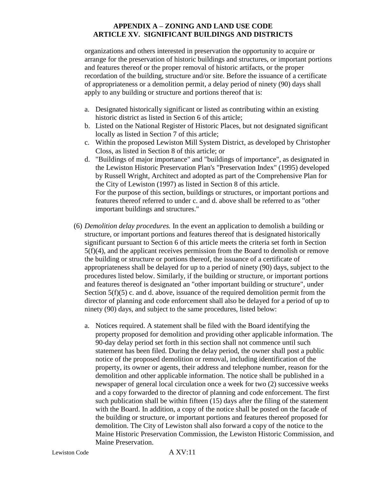organizations and others interested in preservation the opportunity to acquire or arrange for the preservation of historic buildings and structures, or important portions and features thereof or the proper removal of historic artifacts, or the proper recordation of the building, structure and/or site. Before the issuance of a certificate of appropriateness or a demolition permit, a delay period of ninety (90) days shall apply to any building or structure and portions thereof that is:

- a. Designated historically significant or listed as contributing within an existing historic district as listed in Section 6 of this article;
- b. Listed on the National Register of Historic Places, but not designated significant locally as listed in Section 7 of this article;
- c. Within the proposed Lewiston Mill System District, as developed by Christopher Closs, as listed in Section 8 of this article; or
- d. "Buildings of major importance" and "buildings of importance", as designated in the Lewiston Historic Preservation Plan's "Preservation Index" (1995) developed by Russell Wright, Architect and adopted as part of the Comprehensive Plan for the City of Lewiston (1997) as listed in Section 8 of this article. For the purpose of this section, buildings or structures, or important portions and features thereof referred to under c. and d. above shall be referred to as "other important buildings and structures."
- (6) *Demolition delay procedures.* In the event an application to demolish a building or structure, or important portions and features thereof that is designated historically significant pursuant to Section 6 of this article meets the criteria set forth in Section 5(f)(4), and the applicant receives permission from the Board to demolish or remove the building or structure or portions thereof, the issuance of a certificate of appropriateness shall be delayed for up to a period of ninety (90) days, subject to the procedures listed below. Similarly, if the building or structure, or important portions and features thereof is designated an "other important building or structure", under Section  $5(f)(5)$  c. and d. above, issuance of the required demolition permit from the director of planning and code enforcement shall also be delayed for a period of up to ninety (90) days, and subject to the same procedures, listed below:
	- a. Notices required. A statement shall be filed with the Board identifying the property proposed for demolition and providing other applicable information. The 90-day delay period set forth in this section shall not commence until such statement has been filed. During the delay period, the owner shall post a public notice of the proposed demolition or removal, including identification of the property, its owner or agents, their address and telephone number, reason for the demolition and other applicable information. The notice shall be published in a newspaper of general local circulation once a week for two (2) successive weeks and a copy forwarded to the director of planning and code enforcement. The first such publication shall be within fifteen (15) days after the filing of the statement with the Board. In addition, a copy of the notice shall be posted on the facade of the building or structure, or important portions and features thereof proposed for demolition. The City of Lewiston shall also forward a copy of the notice to the Maine Historic Preservation Commission, the Lewiston Historic Commission, and Maine Preservation.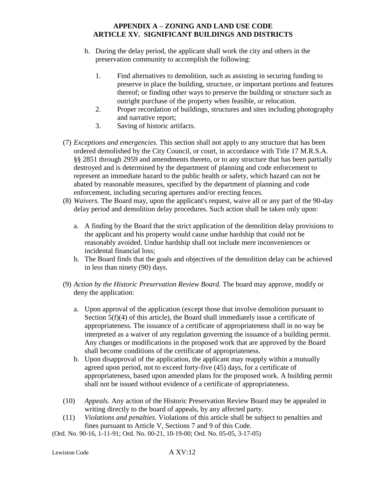- b. During the delay period, the applicant shall work the city and others in the preservation community to accomplish the following:
	- 1. Find alternatives to demolition, such as assisting in securing funding to preserve in place the building, structure, or important portions and features thereof; or finding other ways to preserve the building or structure such as outright purchase of the property when feasible, or relocation.
	- 2. Proper recordation of buildings, structures and sites including photography and narrative report;
	- 3. Saving of historic artifacts.
- (7) *Exceptions and emergencies.* This section shall not apply to any structure that has been ordered demolished by the City Council, or court, in accordance with Title 17 M.R.S.A. §§ 2851 through 2959 and amendments thereto, or to any structure that has been partially destroyed and is determined by the department of planning and code enforcement to represent an immediate hazard to the public health or safety, which hazard can not be abated by reasonable measures, specified by the department of planning and code enforcement, including securing apertures and/or erecting fences.
- (8) *Waivers.* The Board may, upon the applicant's request, waive all or any part of the 90-day delay period and demolition delay procedures. Such action shall be taken only upon:
	- a. A finding by the Board that the strict application of the demolition delay provisions to the applicant and his property would cause undue hardship that could not be reasonably avoided. Undue hardship shall not include mere inconveniences or incidental financial loss;
	- b. The Board finds that the goals and objectives of the demolition delay can be achieved in less than ninety (90) days.
- (9) *Action by the Historic Preservation Review Board.* The board may approve, modify or deny the application:
	- a. Upon approval of the application (except those that involve demolition pursuant to Section 5(f)(4) of this article), the Board shall immediately issue a certificate of appropriateness. The issuance of a certificate of appropriateness shall in no way be interpreted as a waiver of any regulation governing the issuance of a building permit. Any changes or modifications in the proposed work that are approved by the Board shall become conditions of the certificate of appropriateness.
	- b. Upon disapproval of the application, the applicant may reapply within a mutually agreed upon period, not to exceed forty-five (45) days, for a certificate of appropriateness, based upon amended plans for the proposed work. A building permit shall not be issued without evidence of a certificate of appropriateness.
- (10) *Appeals.* Any action of the Historic Preservation Review Board may be appealed in writing directly to the board of appeals, by any affected party.
- (11) *Violations and penalties.* Violations of this article shall be subject to penalties and fines pursuant to Article V, Sections 7 and 9 of this Code.

(Ord. No. 90-16, 1-11-91; Ord. No. 00-21, 10-19-00; Ord. No. 05-05, 3-17-05)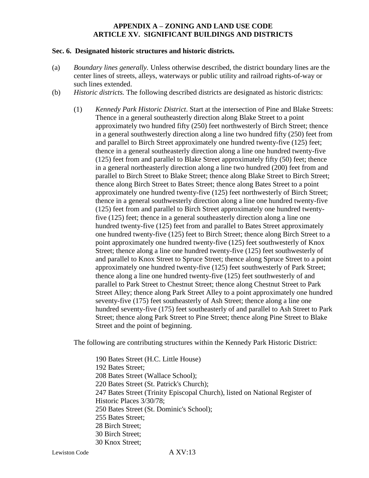#### **Sec. 6. Designated historic structures and historic districts.**

- (a) *Boundary lines generally.* Unless otherwise described, the district boundary lines are the center lines of streets, alleys, waterways or public utility and railroad rights-of-way or such lines extended.
- (b) *Historic districts.* The following described districts are designated as historic districts:
	- (1) *Kennedy Park Historic District*. Start at the intersection of Pine and Blake Streets: Thence in a general southeasterly direction along Blake Street to a point approximately two hundred fifty (250) feet northwesterly of Birch Street; thence in a general southwesterly direction along a line two hundred fifty (250) feet from and parallel to Birch Street approximately one hundred twenty-five (125) feet; thence in a general southeasterly direction along a line one hundred twenty-five (125) feet from and parallel to Blake Street approximately fifty (50) feet; thence in a general northeasterly direction along a line two hundred (200) feet from and parallel to Birch Street to Blake Street; thence along Blake Street to Birch Street; thence along Birch Street to Bates Street; thence along Bates Street to a point approximately one hundred twenty-five (125) feet northwesterly of Birch Street; thence in a general southwesterly direction along a line one hundred twenty-five (125) feet from and parallel to Birch Street approximately one hundred twentyfive (125) feet; thence in a general southeasterly direction along a line one hundred twenty-five (125) feet from and parallel to Bates Street approximately one hundred twenty-five (125) feet to Birch Street; thence along Birch Street to a point approximately one hundred twenty-five (125) feet southwesterly of Knox Street; thence along a line one hundred twenty-five (125) feet southwesterly of and parallel to Knox Street to Spruce Street; thence along Spruce Street to a point approximately one hundred twenty-five (125) feet southwesterly of Park Street; thence along a line one hundred twenty-five (125) feet southwesterly of and parallel to Park Street to Chestnut Street; thence along Chestnut Street to Park Street Alley; thence along Park Street Alley to a point approximately one hundred seventy-five (175) feet southeasterly of Ash Street; thence along a line one hundred seventy-five (175) feet southeasterly of and parallel to Ash Street to Park Street; thence along Park Street to Pine Street; thence along Pine Street to Blake Street and the point of beginning.

The following are contributing structures within the Kennedy Park Historic District:

190 Bates Street (H.C. Little House) 192 Bates Street; 208 Bates Street (Wallace School); 220 Bates Street (St. Patrick's Church); 247 Bates Street (Trinity Episcopal Church), listed on National Register of Historic Places 3/30/78; 250 Bates Street (St. Dominic's School); 255 Bates Street; 28 Birch Street; 30 Birch Street; 30 Knox Street;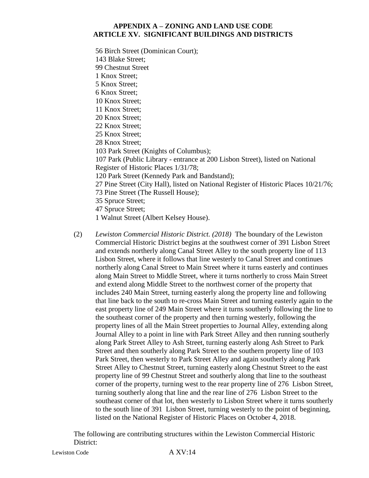56 Birch Street (Dominican Court); 143 Blake Street; 99 Chestnut Street 1 Knox Street; 5 Knox Street; 6 Knox Street; 10 Knox Street; 11 Knox Street; 20 Knox Street; 22 Knox Street; 25 Knox Street; 28 Knox Street; 103 Park Street (Knights of Columbus); 107 Park (Public Library - entrance at 200 Lisbon Street), listed on National Register of Historic Places 1/31/78; 120 Park Street (Kennedy Park and Bandstand); 27 Pine Street (City Hall), listed on National Register of Historic Places 10/21/76; 73 Pine Street (The Russell House); 35 Spruce Street; 47 Spruce Street; 1 Walnut Street (Albert Kelsey House).

(2) *Lewiston Commercial Historic District. (2018)* The boundary of the Lewiston Commercial Historic District begins at the southwest corner of 391 Lisbon Street and extends northerly along Canal Street Alley to the south property line of 113 Lisbon Street, where it follows that line westerly to Canal Street and continues northerly along Canal Street to Main Street where it turns easterly and continues along Main Street to Middle Street, where it turns northerly to cross Main Street and extend along Middle Street to the northwest corner of the property that includes 240 Main Street, turning easterly along the property line and following that line back to the south to re-cross Main Street and turning easterly again to the east property line of 249 Main Street where it turns southerly following the line to the southeast corner of the property and then turning westerly, following the property lines of all the Main Street properties to Journal Alley, extending along Journal Alley to a point in line with Park Street Alley and then running southerly along Park Street Alley to Ash Street, turning easterly along Ash Street to Park Street and then southerly along Park Street to the southern property line of 103 Park Street, then westerly to Park Street Alley and again southerly along Park Street Alley to Chestnut Street, turning easterly along Chestnut Street to the east property line of 99 Chestnut Street and southerly along that line to the southeast corner of the property, turning west to the rear property line of 276 Lisbon Street, turning southerly along that line and the rear line of 276 Lisbon Street to the southeast corner of that lot, then westerly to Lisbon Street where it turns southerly to the south line of 391 Lisbon Street, turning westerly to the point of beginning, listed on the National Register of Historic Places on October 4, 2018.

The following are contributing structures within the Lewiston Commercial Historic District: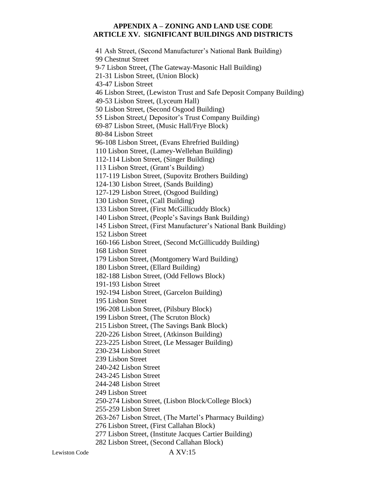41 Ash Street, (Second Manufacturer's National Bank Building) 99 Chestnut Street 9-7 Lisbon Street, (The Gateway-Masonic Hall Building) 21-31 Lisbon Street, (Union Block) 43-47 Lisbon Street 46 Lisbon Street, (Lewiston Trust and Safe Deposit Company Building) 49-53 Lisbon Street, (Lyceum Hall) 50 Lisbon Street, (Second Osgood Building) 55 Lisbon Street,( Depositor's Trust Company Building) 69-87 Lisbon Street, (Music Hall/Frye Block) 80-84 Lisbon Street 96-108 Lisbon Street, (Evans Ehrefried Building) 110 Lisbon Street, (Lamey-Wellehan Building) 112-114 Lisbon Street, (Singer Building) 113 Lisbon Street, (Grant's Building) 117-119 Lisbon Street, (Supovitz Brothers Building) 124-130 Lisbon Street, (Sands Building) 127-129 Lisbon Street, (Osgood Building) 130 Lisbon Street, (Call Building) 133 Lisbon Street, (First McGillicuddy Block) 140 Lisbon Street, (People's Savings Bank Building) 145 Lisbon Street, (First Manufacturer's National Bank Building) 152 Lisbon Street 160-166 Lisbon Street, (Second McGillicuddy Building) 168 Lisbon Street 179 Lisbon Street, (Montgomery Ward Building) 180 Lisbon Street, (Ellard Building) 182-188 Lisbon Street, (Odd Fellows Block) 191-193 Lisbon Street 192-194 Lisbon Street, (Garcelon Building) 195 Lisbon Street 196-208 Lisbon Street, (Pilsbury Block) 199 Lisbon Street, (The Scruton Block) 215 Lisbon Street, (The Savings Bank Block) 220-226 Lisbon Street, (Atkinson Building) 223-225 Lisbon Street, (Le Messager Building) 230-234 Lisbon Street 239 Lisbon Street 240-242 Lisbon Street 243-245 Lisbon Street 244-248 Lisbon Street 249 Lisbon Street 250-274 Lisbon Street, (Lisbon Block/College Block) 255-259 Lisbon Street 263-267 Lisbon Street, (The Martel's Pharmacy Building) 276 Lisbon Street, (First Callahan Block) 277 Lisbon Street, (Institute Jacques Cartier Building) 282 Lisbon Street, (Second Callahan Block)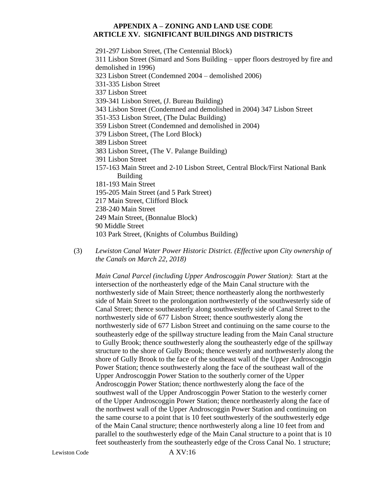291-297 Lisbon Street, (The Centennial Block) 311 Lisbon Street (Simard and Sons Building – upper floors destroyed by fire and demolished in 1996) 323 Lisbon Street (Condemned 2004 – demolished 2006) 331-335 Lisbon Street 337 Lisbon Street 339-341 Lisbon Street, (J. Bureau Building) 343 Lisbon Street (Condemned and demolished in 2004) 347 Lisbon Street 351-353 Lisbon Street, (The Dulac Building) 359 Lisbon Street (Condemned and demolished in 2004) 379 Lisbon Street, (The Lord Block) 389 Lisbon Street 383 Lisbon Street, (The V. Palange Building) 391 Lisbon Street 157-163 Main Street and 2-10 Lisbon Street, Central Block/First National Bank Building 181-193 Main Street 195-205 Main Street (and 5 Park Street) 217 Main Street, Clifford Block 238-240 Main Street 249 Main Street, (Bonnalue Block) 90 Middle Street 103 Park Street, (Knights of Columbus Building)

(3) *Lewiston Canal Water Power Historic District. (Effective upon City ownership of the Canals on March 22, 2018)*

*Main Canal Parcel (including Upper Androscoggin Power Station)*: Start at the intersection of the northeasterly edge of the Main Canal structure with the northwesterly side of Main Street; thence northeasterly along the northwesterly side of Main Street to the prolongation northwesterly of the southwesterly side of Canal Street; thence southeasterly along southwesterly side of Canal Street to the northwesterly side of 677 Lisbon Street; thence southwesterly along the northwesterly side of 677 Lisbon Street and continuing on the same course to the southeasterly edge of the spillway structure leading from the Main Canal structure to Gully Brook; thence southwesterly along the southeasterly edge of the spillway structure to the shore of Gully Brook; thence westerly and northwesterly along the shore of Gully Brook to the face of the southeast wall of the Upper Androscoggin Power Station; thence southwesterly along the face of the southeast wall of the Upper Androscoggin Power Station to the southerly corner of the Upper Androscoggin Power Station; thence northwesterly along the face of the southwest wall of the Upper Androscoggin Power Station to the westerly corner of the Upper Androscoggin Power Station; thence northeasterly along the face of the northwest wall of the Upper Androscoggin Power Station and continuing on the same course to a point that is 10 feet southwesterly of the southwesterly edge of the Main Canal structure; thence northwesterly along a line 10 feet from and parallel to the southwesterly edge of the Main Canal structure to a point that is 10 feet southeasterly from the southeasterly edge of the Cross Canal No. 1 structure;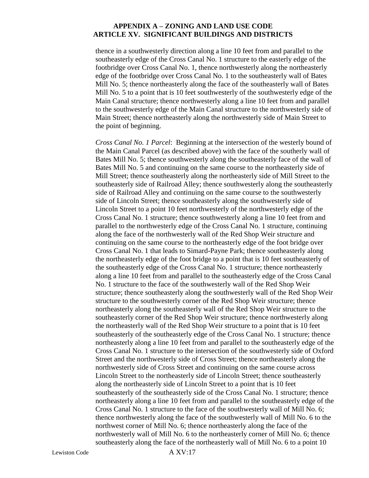thence in a southwesterly direction along a line 10 feet from and parallel to the southeasterly edge of the Cross Canal No. 1 structure to the easterly edge of the footbridge over Cross Canal No. 1, thence northwesterly along the northeasterly edge of the footbridge over Cross Canal No. 1 to the southeasterly wall of Bates Mill No. 5; thence northeasterly along the face of the southeasterly wall of Bates Mill No. 5 to a point that is 10 feet southwesterly of the southwesterly edge of the Main Canal structure; thence northwesterly along a line 10 feet from and parallel to the southwesterly edge of the Main Canal structure to the northwesterly side of Main Street; thence northeasterly along the northwesterly side of Main Street to the point of beginning.

*Cross Canal No. 1 Parcel*: Beginning at the intersection of the westerly bound of the Main Canal Parcel (as described above) with the face of the southerly wall of Bates Mill No. 5; thence southwesterly along the southeasterly face of the wall of Bates Mill No. 5 and continuing on the same course to the northeasterly side of Mill Street; thence southeasterly along the northeasterly side of Mill Street to the southeasterly side of Railroad Alley; thence southwesterly along the southeasterly side of Railroad Alley and continuing on the same course to the southwesterly side of Lincoln Street; thence southeasterly along the southwesterly side of Lincoln Street to a point 10 feet northwesterly of the northwesterly edge of the Cross Canal No. 1 structure; thence southwesterly along a line 10 feet from and parallel to the northwesterly edge of the Cross Canal No. 1 structure, continuing along the face of the northwesterly wall of the Red Shop Weir structure and continuing on the same course to the northeasterly edge of the foot bridge over Cross Canal No. 1 that leads to Simard-Payne Park; thence southeasterly along the northeasterly edge of the foot bridge to a point that is 10 feet southeasterly of the southeasterly edge of the Cross Canal No. 1 structure; thence northeasterly along a line 10 feet from and parallel to the southeasterly edge of the Cross Canal No. 1 structure to the face of the southwesterly wall of the Red Shop Weir structure; thence southeasterly along the southwesterly wall of the Red Shop Weir structure to the southwesterly corner of the Red Shop Weir structure; thence northeasterly along the southeasterly wall of the Red Shop Weir structure to the southeasterly corner of the Red Shop Weir structure; thence northwesterly along the northeasterly wall of the Red Shop Weir structure to a point that is 10 feet southeasterly of the southeasterly edge of the Cross Canal No. 1 structure; thence northeasterly along a line 10 feet from and parallel to the southeasterly edge of the Cross Canal No. 1 structure to the intersection of the southwesterly side of Oxford Street and the northwesterly side of Cross Street; thence northeasterly along the northwesterly side of Cross Street and continuing on the same course across Lincoln Street to the northeasterly side of Lincoln Street; thence southeasterly along the northeasterly side of Lincoln Street to a point that is 10 feet southeasterly of the southeasterly side of the Cross Canal No. 1 structure; thence northeasterly along a line 10 feet from and parallel to the southeasterly edge of the Cross Canal No. 1 structure to the face of the southwesterly wall of Mill No. 6; thence northwesterly along the face of the southwesterly wall of Mill No. 6 to the northwest corner of Mill No. 6; thence northeasterly along the face of the northwesterly wall of Mill No. 6 to the northeasterly corner of Mill No. 6; thence southeasterly along the face of the northeasterly wall of Mill No. 6 to a point 10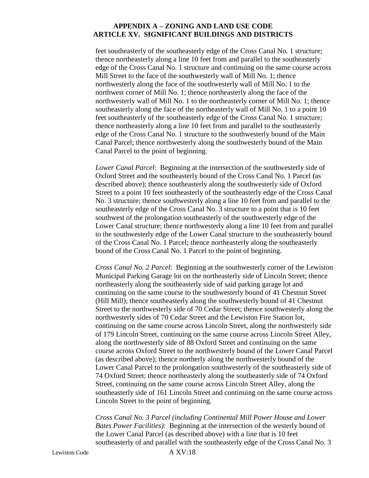feet southeasterly of the southeasterly edge of the Cross Canal No. 1 structure; thence northeasterly along a line 10 feet from and parallel to the southeasterly edge of the Cross Canal No. 1 structure and continuing on the same course across Mill Street to the face of the southwesterly wall of Mill No. 1; thence northwesterly along the face of the southwesterly wall of Mill No. 1 to the northwest corner of Mill No. 1; thence northeasterly along the face of the northwesterly wall of Mill No. 1 to the northeasterly corner of Mill No. 1; thence southeasterly along the face of the northeasterly wall of Mill No. 1 to a point 10 feet southeasterly of the southeasterly edge of the Cross Canal No. 1 structure; thence northeasterly along a line 10 feet from and parallel to the southeasterly edge of the Cross Canal No. 1 structure to the southwesterly bound of the Main Canal Parcel; thence northwesterly along the southwesterly bound of the Main Canal Parcel to the point of beginning.

*Lower Canal Parcel*: Beginning at the intersection of the southwesterly side of Oxford Street and the southeasterly bound of the Cross Canal No. 1 Parcel (as described above); thence southeasterly along the southwesterly side of Oxford Street to a point 10 feet southeasterly of the southeasterly edge of the Cross Canal No. 3 structure; thence southwesterly along a line 10 feet from and parallel to the southeasterly edge of the Cross Canal No. 3 structure to a point that is 10 feet southwest of the prolongation southeasterly of the southwesterly edge of the Lower Canal structure; thence northwesterly along a line 10 feet from and parallel to the southwesterly edge of the Lower Canal structure to the southeasterly bound of the Cross Canal No. 1 Parcel; thence northeasterly along the southeasterly bound of the Cross Canal No. 1 Parcel to the point of beginning.

*Cross Canal No. 2 Parcel*: Beginning at the southwesterly corner of the Lewiston Municipal Parking Garage lot on the northeasterly side of Lincoln Street; thence northeasterly along the southeasterly side of said parking garage lot and continuing on the same course to the southwesterly bound of 41 Chestnut Street (Hill Mill); thence southeasterly along the southwesterly bound of 41 Chestnut Street to the northwesterly side of 70 Cedar Street; thence southwesterly along the northwesterly sides of 70 Cedar Street and the Lewiston Fire Station lot, continuing on the same course across Lincoln Street, along the northwesterly side of 179 Lincoln Street, continuing on the same course across Lincoln Street Alley, along the northwesterly side of 88 Oxford Street and continuing on the same course across Oxford Street to the northwesterly bound of the Lower Canal Parcel (as described above); thence northerly along the northwesterly bound of the Lower Canal Parcel to the prolongation southwesterly of the southeasterly side of 74 Oxford Street; thence northeasterly along the southeasterly side of 74 Oxford Street, continuing on the same course across Lincoln Street Alley, along the southeasterly side of 161 Lincoln Street and continuing on the same course across Lincoln Street to the point of beginning.

*Cross Canal No. 3 Parcel (including Continental Mill Power House and Lower Bates Power Facilities)*: Beginning at the intersection of the westerly bound of the Lower Canal Parcel (as described above) with a line that is 10 feet southeasterly of and parallel with the southeasterly edge of the Cross Canal No. 3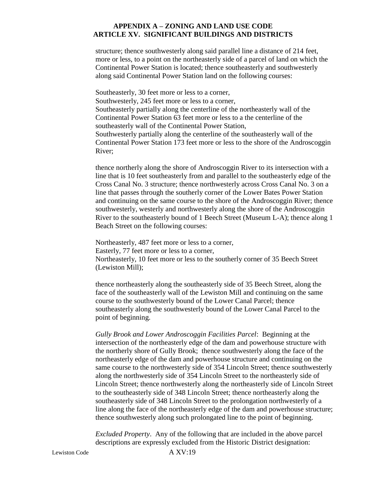structure; thence southwesterly along said parallel line a distance of 214 feet, more or less, to a point on the northeasterly side of a parcel of land on which the Continental Power Station is located; thence southeasterly and southwesterly along said Continental Power Station land on the following courses:

Southeasterly, 30 feet more or less to a corner, Southwesterly, 245 feet more or less to a corner, Southeasterly partially along the centerline of the northeasterly wall of the Continental Power Station 63 feet more or less to a the centerline of the southeasterly wall of the Continental Power Station, Southwesterly partially along the centerline of the southeasterly wall of the Continental Power Station 173 feet more or less to the shore of the Androscoggin River;

thence northerly along the shore of Androscoggin River to its intersection with a line that is 10 feet southeasterly from and parallel to the southeasterly edge of the Cross Canal No. 3 structure; thence northwesterly across Cross Canal No. 3 on a line that passes through the southerly corner of the Lower Bates Power Station and continuing on the same course to the shore of the Androscoggin River; thence southwesterly, westerly and northwesterly along the shore of the Androscoggin River to the southeasterly bound of 1 Beech Street (Museum L-A); thence along 1 Beach Street on the following courses:

Northeasterly, 487 feet more or less to a corner, Easterly, 77 feet more or less to a corner, Northeasterly, 10 feet more or less to the southerly corner of 35 Beech Street (Lewiston Mill);

thence northeasterly along the southeasterly side of 35 Beech Street, along the face of the southeasterly wall of the Lewiston Mill and continuing on the same course to the southwesterly bound of the Lower Canal Parcel; thence southeasterly along the southwesterly bound of the Lower Canal Parcel to the point of beginning.

*Gully Brook and Lower Androscoggin Facilities Parcel*: Beginning at the intersection of the northeasterly edge of the dam and powerhouse structure with the northerly shore of Gully Brook; thence southwesterly along the face of the northeasterly edge of the dam and powerhouse structure and continuing on the same course to the northwesterly side of 354 Lincoln Street; thence southwesterly along the northwesterly side of 354 Lincoln Street to the northeasterly side of Lincoln Street; thence northwesterly along the northeasterly side of Lincoln Street to the southeasterly side of 348 Lincoln Street; thence northeasterly along the southeasterly side of 348 Lincoln Street to the prolongation northwesterly of a line along the face of the northeasterly edge of the dam and powerhouse structure; thence southwesterly along such prolongated line to the point of beginning.

*Excluded Property*. Any of the following that are included in the above parcel descriptions are expressly excluded from the Historic District designation: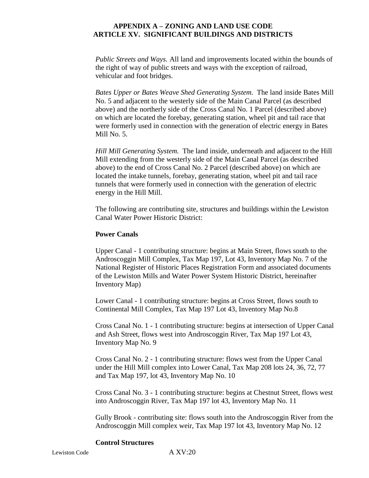*Public Streets and Ways.* All land and improvements located within the bounds of the right of way of public streets and ways with the exception of railroad, vehicular and foot bridges.

*Bates Upper or Bates Weave Shed Generating System.* The land inside Bates Mill No. 5 and adjacent to the westerly side of the Main Canal Parcel (as described above) and the northerly side of the Cross Canal No. 1 Parcel (described above) on which are located the forebay, generating station, wheel pit and tail race that were formerly used in connection with the generation of electric energy in Bates Mill No. 5.

*Hill Mill Generating System.* The land inside, underneath and adjacent to the Hill Mill extending from the westerly side of the Main Canal Parcel (as described above) to the end of Cross Canal No. 2 Parcel (described above) on which are located the intake tunnels, forebay, generating station, wheel pit and tail race tunnels that were formerly used in connection with the generation of electric energy in the Hill Mill.

The following are contributing site, structures and buildings within the Lewiston Canal Water Power Historic District:

#### **Power Canals**

Upper Canal - 1 contributing structure: begins at Main Street, flows south to the Androscoggin Mill Complex, Tax Map 197, Lot 43, Inventory Map No. 7 of the National Register of Historic Places Registration Form and associated documents of the Lewiston Mills and Water Power System Historic District, hereinafter Inventory Map)

Lower Canal - 1 contributing structure: begins at Cross Street, flows south to Continental Mill Complex, Tax Map 197 Lot 43, Inventory Map No.8

Cross Canal No. 1 - 1 contributing structure: begins at intersection of Upper Canal and Ash Street, flows west into Androscoggin River, Tax Map 197 Lot 43, Inventory Map No. 9

Cross Canal No. 2 - 1 contributing structure: flows west from the Upper Canal under the Hill Mill complex into Lower Canal, Tax Map 208 lots 24, 36, 72, 77 and Tax Map 197, lot 43, Inventory Map No. 10

Cross Canal No. 3 - 1 contributing structure: begins at Chestnut Street, flows west into Androscoggin River, Tax Map 197 lot 43, Inventory Map No. 11

Gully Brook - contributing site: flows south into the Androscoggin River from the Androscoggin Mill complex weir, Tax Map 197 lot 43, Inventory Map No. 12

### **Control Structures**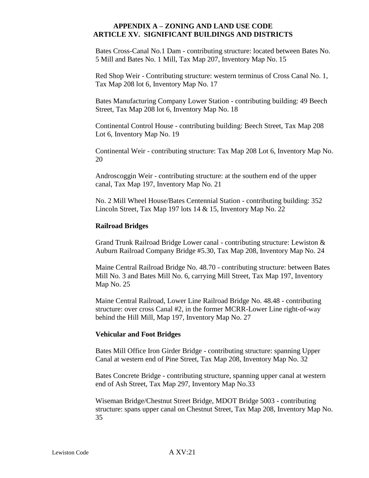Bates Cross-Canal No.1 Dam - contributing structure: located between Bates No. 5 Mill and Bates No. 1 Mill, Tax Map 207, Inventory Map No. 15

Red Shop Weir - Contributing structure: western terminus of Cross Canal No. 1, Tax Map 208 lot 6, Inventory Map No. 17

Bates Manufacturing Company Lower Station - contributing building: 49 Beech Street, Tax Map 208 lot 6, Inventory Map No. 18

Continental Control House - contributing building: Beech Street, Tax Map 208 Lot 6, Inventory Map No. 19

Continental Weir - contributing structure: Tax Map 208 Lot 6, Inventory Map No. 20

Androscoggin Weir - contributing structure: at the southern end of the upper canal, Tax Map 197, Inventory Map No. 21

No. 2 Mill Wheel House/Bates Centennial Station - contributing building: 352 Lincoln Street, Tax Map 197 lots 14 & 15, Inventory Map No. 22

#### **Railroad Bridges**

Grand Trunk Railroad Bridge Lower canal - contributing structure: Lewiston & Auburn Railroad Company Bridge #5.30, Tax Map 208, Inventory Map No. 24

Maine Central Railroad Bridge No. 48.70 - contributing structure: between Bates Mill No. 3 and Bates Mill No. 6, carrying Mill Street, Tax Map 197, Inventory Map No. 25

Maine Central Railroad, Lower Line Railroad Bridge No. 48.48 - contributing structure: over cross Canal #2, in the former MCRR-Lower Line right-of-way behind the Hill Mill, Map 197, Inventory Map No. 27

#### **Vehicular and Foot Bridges**

Bates Mill Office Iron Girder Bridge - contributing structure: spanning Upper Canal at western end of Pine Street, Tax Map 208, Inventory Map No. 32

Bates Concrete Bridge - contributing structure, spanning upper canal at western end of Ash Street, Tax Map 297, Inventory Map No.33

Wiseman Bridge/Chestnut Street Bridge, MDOT Bridge 5003 - contributing structure: spans upper canal on Chestnut Street, Tax Map 208, Inventory Map No. 35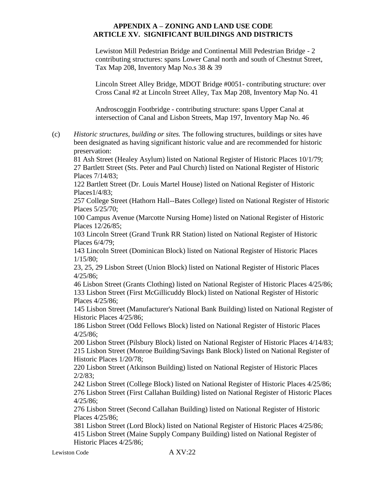Lewiston Mill Pedestrian Bridge and Continental Mill Pedestrian Bridge - 2 contributing structures: spans Lower Canal north and south of Chestnut Street, Tax Map 208, Inventory Map No.s 38 & 39

Lincoln Street Alley Bridge, MDOT Bridge #0051- contributing structure: over Cross Canal #2 at Lincoln Street Alley, Tax Map 208, Inventory Map No. 41

Androscoggin Footbridge - contributing structure: spans Upper Canal at intersection of Canal and Lisbon Streets, Map 197, Inventory Map No. 46

(c) *Historic structures, building or sites.* The following structures, buildings or sites have been designated as having significant historic value and are recommended for historic preservation:

81 Ash Street (Healey Asylum) listed on National Register of Historic Places 10/1/79; 27 Bartlett Street (Sts. Peter and Paul Church) listed on National Register of Historic Places 7/14/83;

122 Bartlett Street (Dr. Louis Martel House) listed on National Register of Historic Places1/4/83;

257 College Street (Hathorn Hall--Bates College) listed on National Register of Historic Places 5/25/70;

100 Campus Avenue (Marcotte Nursing Home) listed on National Register of Historic Places 12/26/85;

103 Lincoln Street (Grand Trunk RR Station) listed on National Register of Historic Places 6/4/79;

143 Lincoln Street (Dominican Block) listed on National Register of Historic Places 1/15/80;

23, 25, 29 Lisbon Street (Union Block) listed on National Register of Historic Places 4/25/86;

46 Lisbon Street (Grants Clothing) listed on National Register of Historic Places 4/25/86; 133 Lisbon Street (First McGillicuddy Block) listed on National Register of Historic Places 4/25/86;

145 Lisbon Street (Manufacturer's National Bank Building) listed on National Register of Historic Places 4/25/86;

186 Lisbon Street (Odd Fellows Block) listed on National Register of Historic Places 4/25/86;

200 Lisbon Street (Pilsbury Block) listed on National Register of Historic Places 4/14/83; 215 Lisbon Street (Monroe Building/Savings Bank Block) listed on National Register of Historic Places 1/20/78;

220 Lisbon Street (Atkinson Building) listed on National Register of Historic Places 2/2/83;

242 Lisbon Street (College Block) listed on National Register of Historic Places 4/25/86; 276 Lisbon Street (First Callahan Building) listed on National Register of Historic Places 4/25/86;

276 Lisbon Street (Second Callahan Building) listed on National Register of Historic Places 4/25/86;

381 Lisbon Street (Lord Block) listed on National Register of Historic Places 4/25/86; 415 Lisbon Street (Maine Supply Company Building) listed on National Register of Historic Places 4/25/86;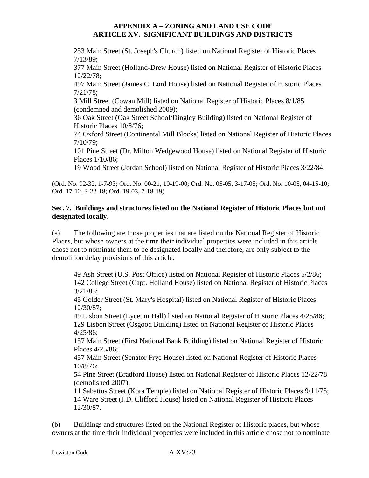253 Main Street (St. Joseph's Church) listed on National Register of Historic Places 7/13/89;

377 Main Street (Holland-Drew House) listed on National Register of Historic Places 12/22/78;

497 Main Street (James C. Lord House) listed on National Register of Historic Places 7/21/78;

3 Mill Street (Cowan Mill) listed on National Register of Historic Places 8/1/85 (condemned and demolished 2009);

36 Oak Street (Oak Street School/Dingley Building) listed on National Register of Historic Places 10/8/76;

74 Oxford Street (Continental Mill Blocks) listed on National Register of Historic Places 7/10/79;

101 Pine Street (Dr. Milton Wedgewood House) listed on National Register of Historic Places 1/10/86;

19 Wood Street (Jordan School) listed on National Register of Historic Places 3/22/84.

(Ord. No. 92-32, 1-7-93; Ord. No. 00-21, 10-19-00; Ord. No. 05-05, 3-17-05; Ord. No. 10-05, 04-15-10; Ord. 17-12, 3-22-18; Ord. 19-03, 7-18-19)

# **Sec. 7. Buildings and structures listed on the National Register of Historic Places but not designated locally.**

(a) The following are those properties that are listed on the National Register of Historic Places, but whose owners at the time their individual properties were included in this article chose not to nominate them to be designated locally and therefore, are only subject to the demolition delay provisions of this article:

49 Ash Street (U.S. Post Office) listed on National Register of Historic Places 5/2/86; 142 College Street (Capt. Holland House) listed on National Register of Historic Places 3/21/85;

45 Golder Street (St. Mary's Hospital) listed on National Register of Historic Places 12/30/87;

49 Lisbon Street (Lyceum Hall) listed on National Register of Historic Places 4/25/86; 129 Lisbon Street (Osgood Building) listed on National Register of Historic Places 4/25/86;

157 Main Street (First National Bank Building) listed on National Register of Historic Places 4/25/86;

457 Main Street (Senator Frye House) listed on National Register of Historic Places 10/8/76;

54 Pine Street (Bradford House) listed on National Register of Historic Places 12/22/78 (demolished 2007);

11 Sabattus Street (Kora Temple) listed on National Register of Historic Places 9/11/75; 14 Ware Street (J.D. Clifford House) listed on National Register of Historic Places 12/30/87.

(b) Buildings and structures listed on the National Register of Historic places, but whose owners at the time their individual properties were included in this article chose not to nominate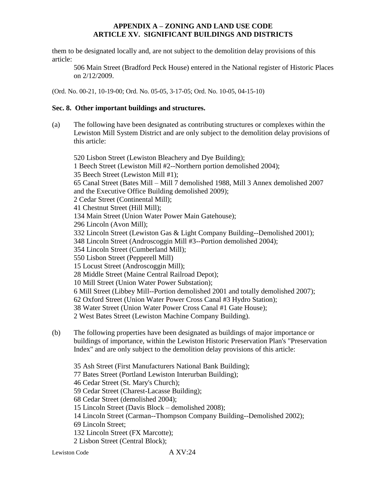them to be designated locally and, are not subject to the demolition delay provisions of this article:

506 Main Street (Bradford Peck House) entered in the National register of Historic Places on 2/12/2009.

(Ord. No. 00-21, 10-19-00; Ord. No. 05-05, 3-17-05; Ord. No. 10-05, 04-15-10)

# **Sec. 8. Other important buildings and structures.**

(a) The following have been designated as contributing structures or complexes within the Lewiston Mill System District and are only subject to the demolition delay provisions of this article:

520 Lisbon Street (Lewiston Bleachery and Dye Building); 1 Beech Street (Lewiston Mill #2--Northern portion demolished 2004); 35 Beech Street (Lewiston Mill #1); 65 Canal Street (Bates Mill – Mill 7 demolished 1988, Mill 3 Annex demolished 2007 and the Executive Office Building demolished 2009); 2 Cedar Street (Continental Mill); 41 Chestnut Street (Hill Mill); 134 Main Street (Union Water Power Main Gatehouse); 296 Lincoln (Avon Mill); 332 Lincoln Street (Lewiston Gas & Light Company Building--Demolished 2001); 348 Lincoln Street (Androscoggin Mill #3--Portion demolished 2004); 354 Lincoln Street (Cumberland Mill); 550 Lisbon Street (Pepperell Mill) 15 Locust Street (Androscoggin Mill); 28 Middle Street (Maine Central Railroad Depot); 10 Mill Street (Union Water Power Substation); 6 Mill Street (Libbey Mill--Portion demolished 2001 and totally demolished 2007); 62 Oxford Street (Union Water Power Cross Canal #3 Hydro Station); 38 Water Street (Union Water Power Cross Canal #1 Gate House); 2 West Bates Street (Lewiston Machine Company Building).

- (b) The following properties have been designated as buildings of major importance or buildings of importance, within the Lewiston Historic Preservation Plan's "Preservation Index" and are only subject to the demolition delay provisions of this article:
	- 35 Ash Street (First Manufacturers National Bank Building); 77 Bates Street (Portland Lewiston Interurban Building); 46 Cedar Street (St. Mary's Church); 59 Cedar Street (Charest-Lacasse Building); 68 Cedar Street (demolished 2004); 15 Lincoln Street (Davis Block – demolished 2008); 14 Lincoln Street (Carman--Thompson Company Building--Demolished 2002); 69 Lincoln Street; 132 Lincoln Street (FX Marcotte);
	- 2 Lisbon Street (Central Block);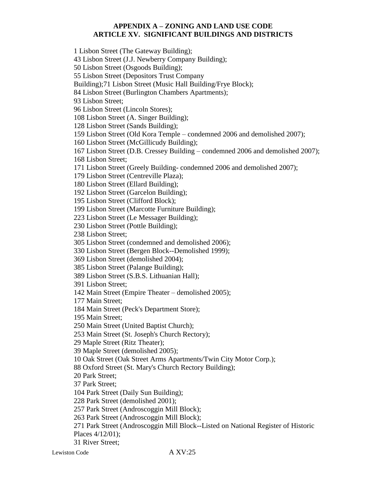1 Lisbon Street (The Gateway Building); 43 Lisbon Street (J.J. Newberry Company Building); 50 Lisbon Street (Osgoods Building); 55 Lisbon Street (Depositors Trust Company Building);71 Lisbon Street (Music Hall Building/Frye Block); 84 Lisbon Street (Burlington Chambers Apartments); 93 Lisbon Street; 96 Lisbon Street (Lincoln Stores); 108 Lisbon Street (A. Singer Building); 128 Lisbon Street (Sands Building); 159 Lisbon Street (Old Kora Temple – condemned 2006 and demolished 2007); 160 Lisbon Street (McGillicudy Building); 167 Lisbon Street (D.B. Cressey Building – condemned 2006 and demolished 2007); 168 Lisbon Street; 171 Lisbon Street (Greely Building- condemned 2006 and demolished 2007); 179 Lisbon Street (Centreville Plaza); 180 Lisbon Street (Ellard Building); 192 Lisbon Street (Garcelon Building); 195 Lisbon Street (Clifford Block); 199 Lisbon Street (Marcotte Furniture Building); 223 Lisbon Street (Le Messager Building); 230 Lisbon Street (Pottle Building); 238 Lisbon Street; 305 Lisbon Street (condemned and demolished 2006); 330 Lisbon Street (Bergen Block--Demolished 1999); 369 Lisbon Street (demolished 2004); 385 Lisbon Street (Palange Building); 389 Lisbon Street (S.B.S. Lithuanian Hall); 391 Lisbon Street; 142 Main Street (Empire Theater – demolished 2005); 177 Main Street; 184 Main Street (Peck's Department Store); 195 Main Street; 250 Main Street (United Baptist Church); 253 Main Street (St. Joseph's Church Rectory); 29 Maple Street (Ritz Theater); 39 Maple Street (demolished 2005); 10 Oak Street (Oak Street Arms Apartments/Twin City Motor Corp.); 88 Oxford Street (St. Mary's Church Rectory Building); 20 Park Street; 37 Park Street; 104 Park Street (Daily Sun Building); 228 Park Street (demolished 2001); 257 Park Street (Androscoggin Mill Block); 263 Park Street (Androscoggin Mill Block); 271 Park Street (Androscoggin Mill Block--Listed on National Register of Historic Places 4/12/01);

31 River Street;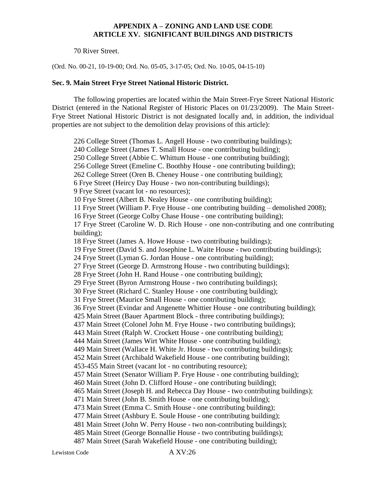70 River Street.

(Ord. No. 00-21, 10-19-00; Ord. No. 05-05, 3-17-05; Ord. No. 10-05, 04-15-10)

#### **Sec. 9. Main Street Frye Street National Historic District.**

The following properties are located within the Main Street-Frye Street National Historic District (entered in the National Register of Historic Places on 01/23/2009). The Main Street-Frye Street National Historic District is not designated locally and, in addition, the individual properties are not subject to the demolition delay provisions of this article):

226 College Street (Thomas L. Angell House - two contributing buildings); 240 College Street (James T. Small House - one contributing building); 250 College Street (Abbie C. Whittum House - one contributing building); 256 College Street (Emeline C. Boothby House - one contributing building); 262 College Street (Oren B. Cheney House - one contributing building); 6 Frye Street (Heircy Day House - two non-contributing buildings); 9 Frye Street (vacant lot - no resources); 10 Frye Street (Albert B. Nealey House - one contributing building); 11 Frye Street (William P. Frye House - one contributing building – demolished 2008); 16 Frye Street (George Colby Chase House - one contributing building); 17 Frye Street (Caroline W. D. Rich House - one non-contributing and one contributing building); 18 Frye Street (James A. Howe House - two contributing buildings); 19 Frye Street (David S. and Josephine L. Waite House - two contributing buildings); 24 Frye Street (Lyman G. Jordan House - one contributing building); 27 Frye Street (George D. Armstrong House - two contributing buildings); 28 Frye Street (John H. Rand House - one contributing building); 29 Frye Street (Byron Armstrong House - two contributing buildings); 30 Frye Street (Richard C. Stanley House - one contributing building); 31 Frye Street (Maurice Small House - one contributing building); 36 Frye Street (Evindar and Angenette Whittier House - one contributing building); 425 Main Street (Bauer Apartment Block - three contributing buildings); 437 Main Street (Colonel John M. Frye House - two contributing buildings); 443 Main Street (Ralph W. Crockett House - one contributing building); 444 Main Street (James Wirt White House - one contributing building); 449 Main Street (Wallace H. White Jr. House - two contributing buildings); 452 Main Street (Archibald Wakefield House - one contributing building); 453-455 Main Street (vacant lot - no contributing resource); 457 Main Street (Senator William P. Frye House - one contributing building); 460 Main Street (John D. Clifford House - one contributing building); 465 Main Street (Joseph H. and Rebecca Day House - two contributing buildings); 471 Main Street (John B. Smith House - one contributing building); 473 Main Street (Emma C. Smith House - one contributing building); 477 Main Street (Ashbury E. Soule House - one contributing building); 481 Main Street (John W. Perry House - two non-contributing buildings); 485 Main Street (George Bonnallie House - two contributing buildings); 487 Main Street (Sarah Wakefield House - one contributing building);